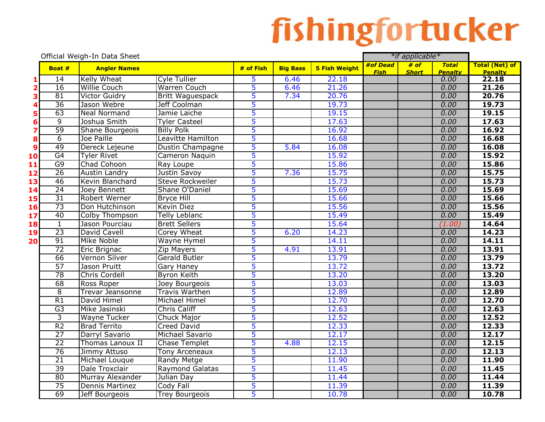|                         |                 | Official Weigh-In Data Sheet |                         |                |                 |                      | *if applicable* |              |                        |                         |
|-------------------------|-----------------|------------------------------|-------------------------|----------------|-----------------|----------------------|-----------------|--------------|------------------------|-------------------------|
|                         | Boat #          | <b>Angler Names</b>          |                         | # of Fish      | <b>Big Bass</b> | <b>5 Fish Weight</b> | #of Dead        | # of         | <b>Total</b>           | <b>Total (Net) of</b>   |
| 1                       | 14              | Kelly Wheat                  | <b>Cyle Tullier</b>     | 5              | 6.46            | 22.18                | <b>Fish</b>     | <b>Short</b> | <b>Penalty</b><br>0.00 | <b>Penalty</b><br>22.18 |
| 2                       | 16              | <b>Willie Couch</b>          | <b>Warren Couch</b>     | 5              | 6.46            | 21.26                |                 |              | 0.00                   | 21.26                   |
| 3                       | 81              | <b>Victor Guidry</b>         | <b>Britt Waguespack</b> | 5              | 7.34            | 20.76                |                 |              | 0.00                   | 20.76                   |
| 4                       | $\overline{36}$ | Jason Webre                  | Jeff Coolman            | 5              |                 | 19.73                |                 |              | 0.00                   | 19.73                   |
| 5                       | 63              | <b>Neal Normand</b>          | Jamie Laiche            | 5              |                 | 19.15                |                 |              | 0.00                   | 19.15                   |
| 6                       | $\overline{9}$  | Joshua Smith                 | <b>Tyler Casteel</b>    | 5              |                 | 17.63                |                 |              | 0.00                   | 17.63                   |
| 7                       | $\overline{59}$ | Shane Bourgeois              | <b>Billy Polk</b>       | 5              |                 | 16.92                |                 |              | 0.00                   | 16.92                   |
| 8                       | $\overline{6}$  | Joe Paille                   | Leavitte Hamilton       | 5              |                 | 16.68                |                 |              | 0.00                   | 16.68                   |
| 9                       | 49              | Dereck Lejeune               | Dustin Champagne        | 5              | 5.84            | 16.08                |                 |              | 0.00                   | 16.08                   |
| $\mathbf{0}$            | G4              | <b>Tyler Rivet</b>           | Cameron Naquin          | 5              |                 | 15.92                |                 |              | 0.00                   | 15.92                   |
| 1                       | G9              | Chad Cohoon                  | Ray Loupe               | 5              |                 | 15.86                |                 |              | 0.00                   | 15.86                   |
| $\overline{\mathbf{2}}$ | $\overline{26}$ | <b>Austin Landry</b>         | Justin Savoy            | 5              | 7.36            | 15.75                |                 |              | 0.00                   | 15.75                   |
| L3                      | 46              | Kevin Blanchard              | <b>Steve Rockweiler</b> | 5              |                 | 15.73                |                 |              | 0.00                   | 15.73                   |
| $\overline{4}$          | 24              | Joey Bennett                 | Shane O'Daniel          | $\overline{5}$ |                 | 15.69                |                 |              | 0.00                   | 15.69                   |
| .5                      | $\overline{31}$ | Robert Werner                | <b>Bryce Hill</b>       | 5              |                 | 15.66                |                 |              | 0.00                   | 15.66                   |
| <b>6</b>                | $\overline{73}$ | Don Hutchinson               | <b>Kevin Diez</b>       | 5              |                 | 15.56                |                 |              | 0.00                   | 15.56                   |
| 17                      | 40              | Colby Thompson               | Telly Leblanc           | $\overline{5}$ |                 | 15.49                |                 |              | 0.00                   | 15.49                   |
| 18                      | $\overline{1}$  | Jason Pourciau               | <b>Brett Sellers</b>    | $\overline{5}$ |                 | 15.64                |                 |              | (1.00)                 | 14.64                   |
| L9                      | $\overline{23}$ | David Cavell                 | Corey Wheat             | 5              | 6.20            | 14.23                |                 |              | 0.00                   | 14.23                   |
| 20                      | 91              | Mike Noble                   | <b>Wayne Hymel</b>      | 5              |                 | 14.11                |                 |              | 0.00                   | 14.11                   |
|                         | 72              | Eric Brignac                 | <b>Zip Mayers</b>       | 5              | 4.91            | 13.91                |                 |              | 0.00                   | 13.91                   |
|                         | 66              | Vernon Silver                | Gerald Butler           | 5              |                 | 13.79                |                 |              | 0.00                   | 13.79                   |
|                         | 57              | Jason Pruitt                 | Gary Haney              | 5              |                 | 13.72                |                 |              | 0.00                   | 13.72                   |
|                         | 78              | Chris Cordell                | <b>Byron Keith</b>      | 5              |                 | 13.20                |                 |              | 0.00                   | 13.20                   |
|                         | 68              | Ross Roper                   | Joey Bourgeois          | 5              |                 | 13.03                |                 |              | 0.00                   | 13.03                   |
|                         | $\overline{8}$  | Trevar Jeansonne             | <b>Travis Warthen</b>   | 5              |                 | 12.89                |                 |              | 0.00                   | 12.89                   |
|                         | $\overline{R1}$ | David Himel                  | Michael Himel           | 5              |                 | 12.70                |                 |              | 0.00                   | 12.70                   |
|                         | $\overline{G}3$ | Mike Jasinski                | Chris Califf            | 5              |                 | 12.63                |                 |              | 0.00                   | 12.63                   |
|                         | $\overline{3}$  | <b>Wayne Tucker</b>          | Chuck Major             | 5              |                 | 12.52                |                 |              | 0.00                   | 12.52                   |
|                         | R <sub>2</sub>  | <b>Brad Territo</b>          | Creed David             | 5              |                 | 12.33                |                 |              | 0.00                   | 12.33                   |
|                         | $\overline{27}$ | Darryl Savario               | Michael Savario         | 5              |                 | 12.17                |                 |              | 0.00                   | 12.17                   |
|                         | $\overline{22}$ | <b>Thomas Lanoux II</b>      | <b>Chase Templet</b>    | 5              | 4.88            | 12.15                |                 |              | 0.00                   | 12.15                   |
|                         | 76              | Jimmy Attuso                 | <b>Tony Arceneaux</b>   | 5              |                 | 12.13                |                 |              | 0.00                   | 12.13                   |
|                         | $\overline{21}$ | Michael Louque               | <b>Randy Metge</b>      | 5              |                 | 11.90                |                 |              | 0.00                   | 11.90                   |
|                         | $\overline{39}$ | Dale Troxclair               | <b>Raymond Galatas</b>  | 5              |                 | 11.45                |                 |              | 0.00                   | 11.45                   |
|                         | 80              | Murray Alexander             | Julian Day              | 5              |                 | 11.44                |                 |              | 0.00                   | 11.44                   |
|                         | 75              | <b>Dennis Martinez</b>       | Cody Fall               | 5              |                 | 11.39                |                 |              | 0.00                   | 11.39                   |
|                         | 69              | Jeff Bourgeois               | <b>Trey Bourgeois</b>   | 5              |                 | 10.78                |                 |              | 0.00                   | 10.78                   |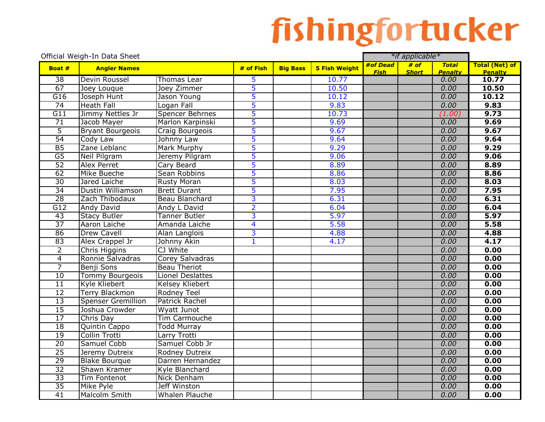|                  | Official Weigh-In Data Sheet<br>*if applicable* |                         |                         |                 |                      |             |              |                |                         |
|------------------|-------------------------------------------------|-------------------------|-------------------------|-----------------|----------------------|-------------|--------------|----------------|-------------------------|
| Boat #           | <b>Angler Names</b>                             |                         | # of Fish               | <b>Big Bass</b> | <b>5 Fish Weight</b> | #of Dead    | # of         | <b>Total</b>   | <b>Total (Net) of</b>   |
| $\overline{38}$  | Devin Roussel                                   | Thomas Lear             |                         |                 |                      | <b>Fish</b> | <b>Short</b> | <b>Penalty</b> | <b>Penalty</b><br>10.77 |
| $\overline{67}$  |                                                 | Joey Zimmer             | 5<br>$\overline{5}$     |                 | 10.77<br>10.50       |             |              | 0.00<br>0.00   | 10.50                   |
|                  | Joey Louque                                     |                         |                         |                 |                      |             |              |                |                         |
| G16              | Joseph Hunt                                     | Jason Young             | 5                       |                 | 10.12                |             |              | 0.00           | 10.12                   |
| 74               | <b>Heath Fall</b>                               | Logan Fall              | 5                       |                 | 9.83                 |             |              | 0.00           | 9.83                    |
| $\overline{G11}$ | Jimmy Nettles Jr                                | Spencer Behrnes         | 5                       |                 | 10.73                |             |              | (1.00)         | 9.73                    |
| 71               | Jacob Mayer                                     | Marlon Karpinski        | 5                       |                 | 9.69                 |             |              | 0.00           | 9.69                    |
| $\overline{5}$   | <b>Bryant Bourgeois</b>                         | Craig Bourgeois         | 5                       |                 | 9.67                 |             |              | 0.00           | 9.67                    |
| $\overline{54}$  | Cody Law                                        | Johnny Law              | $\overline{5}$          |                 | 9.64                 |             |              | 0.00           | 9.64                    |
| B5               | Zane Leblanc                                    | <b>Mark Murphy</b>      | 5                       |                 | 9.29                 |             |              | 0.00           | 9.29                    |
| $\overline{G5}$  | Neil Pilgram                                    | Jeremy Pilgram          | 5                       |                 | 9.06                 |             |              | 0.00           | 9.06                    |
| $\overline{52}$  | <b>Alex Perret</b>                              | Cary Beard              | 5                       |                 | 8.89                 |             |              | 0.00           | 8.89                    |
| 62               | Mike Bueche                                     | Sean Robbins            | 5                       |                 | 8.86                 |             |              | 0.00           | 8.86                    |
| 30               | Jared Laiche                                    | <b>Rusty Moran</b>      | 5                       |                 | 8.03                 |             |              | 0.00           | 8.03                    |
| 34               | Dustin Williamson                               | <b>Brett Durant</b>     | 5                       |                 | 7.95                 |             |              | 0.00           | 7.95                    |
| 28               | Zach Thibodaux                                  | Beau Blanchard          | 3                       |                 | 6.31                 |             |              | 0.00           | 6.31                    |
| $\overline{G12}$ | <b>Andy David</b>                               | Andy L David            | $\overline{2}$          |                 | 6.04                 |             |              | 0.00           | 6.04                    |
| $\overline{43}$  | <b>Stacy Butler</b>                             | <b>Tanner Butler</b>    | 3                       |                 | 5.97                 |             |              | 0.00           | 5.97                    |
| $\overline{37}$  | Aaron Laiche                                    | Amanda Laiche           | $\overline{\mathbf{4}}$ |                 | 5.58                 |             |              | 0.00           | 5.58                    |
| 86               | <b>Drew Cavell</b>                              | Alan Langlois           | $\overline{3}$          |                 | 4.88                 |             |              | 0.00           | 4.88                    |
| 83               | Alex Crappel Jr                                 | Johnny Akin             | $\overline{1}$          |                 | 4.17                 |             |              | 0.00           | 4.17                    |
| $\overline{2}$   | Chris Higgins                                   | CJ White                |                         |                 |                      |             |              | 0.00           | 0.00                    |
| $\overline{4}$   | Ronnie Salvadras                                | Corey Salvadras         |                         |                 |                      |             |              | 0.00           | 0.00                    |
| 7                | Benji Sons                                      | <b>Beau Theriot</b>     |                         |                 |                      |             |              | 0.00           | 0.00                    |
| 10               | <b>Tommy Bourgeois</b>                          | <b>Lionel Deslattes</b> |                         |                 |                      |             |              | 0.00           | 0.00                    |
| $\overline{11}$  | Kyle Kliebert                                   | <b>Kelsey Kliebert</b>  |                         |                 |                      |             |              | 0.00           | 0.00                    |
| 12               | <b>Terry Blackmon</b>                           | <b>Rodney Teel</b>      |                         |                 |                      |             |              | 0.00           | 0.00                    |
| 13               | <b>Spenser Gremillion</b>                       | <b>Patrick Rachel</b>   |                         |                 |                      |             |              | 0.00           | 0.00                    |
| 15               | Joshua Crowder                                  | <b>Wyatt Junot</b>      |                         |                 |                      |             |              | 0.00           | 0.00                    |
| $\overline{17}$  | Chris Day                                       | Tim Carmouche           |                         |                 |                      |             |              | 0.00           | 0.00                    |
| 18               | Quintin Cappo                                   | <b>Todd Murray</b>      |                         |                 |                      |             |              | 0.00           | 0.00                    |
| 19               | Collin Trotti                                   | Larry Trotti            |                         |                 |                      |             |              | 0.00           | 0.00                    |
| $\overline{20}$  | Samuel Cobb                                     | Samuel Cobb Jr          |                         |                 |                      |             |              | 0.00           | 0.00                    |
| $\overline{25}$  | Jeremy Dutreix                                  | Rodney Dutreix          |                         |                 |                      |             |              | 0.00           | 0.00                    |
| 29               | <b>Blake Bourque</b>                            | Darren Hernandez        |                         |                 |                      |             |              | 0.00           | 0.00                    |
| $\overline{32}$  | Shawn Kramer                                    | Kyle Blanchard          |                         |                 |                      |             |              | 0.00           | 0.00                    |
| $\overline{33}$  | <b>Tim Fontenot</b>                             | <b>Nick Denham</b>      |                         |                 |                      |             |              | 0.00           | 0.00                    |
| 35               |                                                 | Jeff Winston            |                         |                 |                      |             |              | 0.00           | 0.00                    |
|                  | <b>Mike Pyle</b>                                |                         |                         |                 |                      |             |              |                |                         |
| $\overline{41}$  | Malcolm Smith                                   | <b>Whalen Plauche</b>   |                         |                 |                      |             |              | 0.00           | 0.00                    |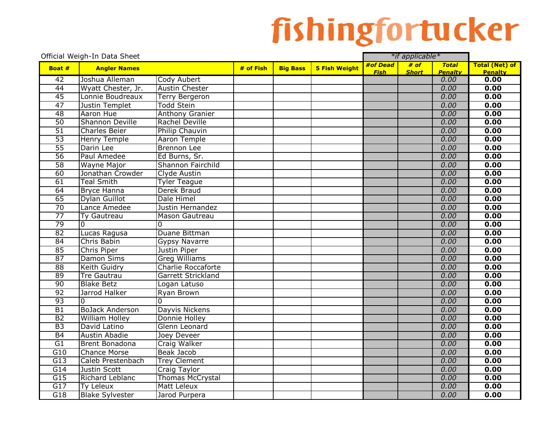|                  | Official Weigh-In Data Sheet |                           |           |                 |                                                          | *if applicable* |                       |                        |                        |
|------------------|------------------------------|---------------------------|-----------|-----------------|----------------------------------------------------------|-----------------|-----------------------|------------------------|------------------------|
| Boat #           | <b>Angler Names</b>          |                           | # of Fish | <b>Big Bass</b> | # of<br>#of Dead<br><b>Total</b><br><b>5 Fish Weight</b> |                 | <b>Total (Net) of</b> |                        |                        |
| 42               | Joshua Alleman               | Cody Aubert               |           |                 |                                                          | <b>Fish</b>     | <b>Short</b>          | <b>Penalty</b><br>0.00 | <b>Penalty</b><br>0.00 |
| 44               | Wyatt Chester, Jr.           | <b>Austin Chester</b>     |           |                 |                                                          |                 |                       | 0.00                   | 0.00                   |
| 45               | Lonnie Boudreaux             |                           |           |                 |                                                          |                 |                       | 0.00                   | 0.00                   |
| $\overline{47}$  |                              | <b>Terry Bergeron</b>     |           |                 |                                                          |                 |                       |                        |                        |
|                  | Justin Templet               | <b>Todd Stein</b>         |           |                 |                                                          |                 |                       | 0.00                   | 0.00                   |
| 48               | Aaron Hue                    | <b>Anthony Granier</b>    |           |                 |                                                          |                 |                       | 0.00                   | 0.00                   |
| 50               | <b>Shannon Deville</b>       | Rachel Deville            |           |                 |                                                          |                 |                       | 0.00                   | 0.00                   |
| 51               | Charles Beier                | Philip Chauvin            |           |                 |                                                          |                 |                       | 0.00                   | 0.00                   |
| $\overline{53}$  | Henry Temple                 | Aaron Temple              |           |                 |                                                          |                 |                       | 0.00                   | 0.00                   |
| $\overline{55}$  | Darin Lee                    | Brennon Lee               |           |                 |                                                          |                 |                       | 0.00                   | 0.00                   |
| $\overline{56}$  | Paul Amedee                  | Ed Burns, Sr.             |           |                 |                                                          |                 |                       | 0.00                   | 0.00                   |
| $\overline{58}$  | Wayne Major                  | Shannon Fairchild         |           |                 |                                                          |                 |                       | 0.00                   | 0.00                   |
| 60               | Jonathan Crowder             | Clyde Austin              |           |                 |                                                          |                 |                       | 0.00                   | 0.00                   |
| 61               | <b>Teal Smith</b>            | <b>Tyler Teague</b>       |           |                 |                                                          |                 |                       | 0.00                   | 0.00                   |
| 64               | <b>Bryce Hanna</b>           | Derek Braud               |           |                 |                                                          |                 |                       | 0.00                   | 0.00                   |
| 65               | Dylan Guillot                | Dale Himel                |           |                 |                                                          |                 |                       | 0.00                   | 0.00                   |
| $\overline{70}$  | Lance Amedee                 | Justin Hernandez          |           |                 |                                                          |                 |                       | 0.00                   | 0.00                   |
| $\overline{77}$  | Ty Gautreau                  | Mason Gautreau            |           |                 |                                                          |                 |                       | 0.00                   | 0.00                   |
| 79               | $\mathbf 0$                  | 0                         |           |                 |                                                          |                 |                       | 0.00                   | 0.00                   |
| 82               | Lucas Ragusa                 | Duane Bittman             |           |                 |                                                          |                 |                       | 0.00                   | 0.00                   |
| $\overline{84}$  | Chris Babin                  | Gypsy Navarre             |           |                 |                                                          |                 |                       | 0.00                   | 0.00                   |
| 85               | Chris Piper                  | Justin Piper              |           |                 |                                                          |                 |                       | 0.00                   | 0.00                   |
| 87               | <b>Damon Sims</b>            | <b>Greg Williams</b>      |           |                 |                                                          |                 |                       | 0.00                   | 0.00                   |
| $\overline{88}$  | <b>Keith Guidry</b>          | <b>Charlie Roccaforte</b> |           |                 |                                                          |                 |                       | 0.00                   | 0.00                   |
| $\overline{89}$  | <b>Tre Gautrau</b>           | <b>Garrett Strickland</b> |           |                 |                                                          |                 |                       | 0.00                   | 0.00                   |
| 90               | <b>Blake Betz</b>            | Logan Latuso              |           |                 |                                                          |                 |                       | 0.00                   | 0.00                   |
| 92               | Jarrod Halker                | Ryan Brown                |           |                 |                                                          |                 |                       | 0.00                   | 0.00                   |
| 93               | $\Omega$                     | $\Omega$                  |           |                 |                                                          |                 |                       | 0.00                   | 0.00                   |
| $\overline{B1}$  | <b>BoJack Anderson</b>       | Dayvis Nickens            |           |                 |                                                          |                 |                       | 0.00                   | 0.00                   |
| B2               | <b>William Holley</b>        | Donnie Holley             |           |                 |                                                          |                 |                       | 0.00                   | 0.00                   |
| B3               | David Latino                 | Glenn Leonard             |           |                 |                                                          |                 |                       | 0.00                   | 0.00                   |
| <b>B4</b>        | Austin Abadie                | Joey Deveer               |           |                 |                                                          |                 |                       | 0.00                   | 0.00                   |
| G1               | <b>Brent Bonadona</b>        | Craig Walker              |           |                 |                                                          |                 |                       | 0.00                   | 0.00                   |
| G10              | <b>Chance Morse</b>          | <b>Beak Jacob</b>         |           |                 |                                                          |                 |                       | 0.00                   | 0.00                   |
| $\overline{G13}$ | Caleb Prestenbach            | <b>Trey Clement</b>       |           |                 |                                                          |                 |                       | 0.00                   | 0.00                   |
| G14              | Justin Scott                 | Craig Taylor              |           |                 |                                                          |                 |                       | 0.00                   | 0.00                   |
| $\overline{G15}$ | Richard Leblanc              | <b>Thomas McCrystal</b>   |           |                 |                                                          |                 |                       | 0.00                   | 0.00                   |
| G17              | <b>Ty Leleux</b>             | <b>Matt Leleux</b>        |           |                 |                                                          |                 |                       | 0.00                   | 0.00                   |
| G18              | <b>Blake Sylvester</b>       | Jarod Purpera             |           |                 |                                                          |                 |                       | 0.00                   | 0.00                   |
|                  |                              |                           |           |                 |                                                          |                 |                       |                        |                        |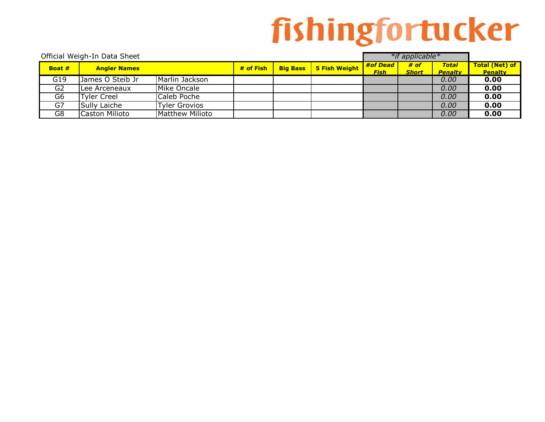| Official Weigh-In Data Sheet |                     |                        |             |                 |               |                         | *if applicable*      |                                |                                         |
|------------------------------|---------------------|------------------------|-------------|-----------------|---------------|-------------------------|----------------------|--------------------------------|-----------------------------------------|
| Boat #                       | <b>Angler Names</b> |                        | $#$ of Fish | <b>Big Bass</b> | 5 Fish Weight | #of Dead<br><b>Fish</b> | # of<br><b>Short</b> | <b>Total</b><br><b>Penalty</b> | <b>Total (Net) of</b><br><b>Penalty</b> |
| G19                          | James O Steib Jr    | Marlin Jackson         |             |                 |               |                         |                      | 0.00                           | 0.00                                    |
| G <sub>2</sub>               | Lee Arceneaux       | Mike Oncale            |             |                 |               |                         |                      | 0.00                           | 0.00                                    |
| G <sub>6</sub>               | Tyler Creel         | Caleb Poche            |             |                 |               |                         |                      | 0.00                           | 0.00                                    |
| G7                           | Sully Laiche        | Tyler Grovios          |             |                 |               |                         |                      | 0.00                           | 0.00                                    |
| G8                           | Caston Milioto      | <b>Matthew Milioto</b> |             |                 |               |                         |                      | 0.00                           | 0.00                                    |